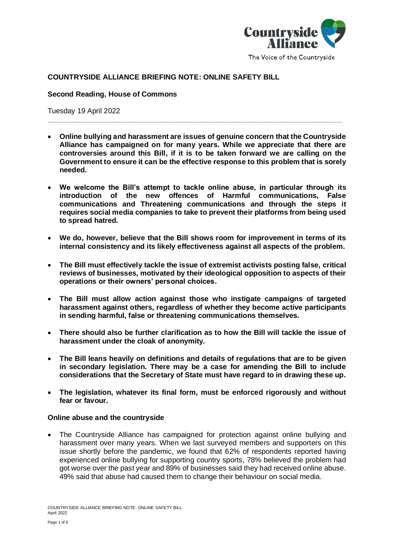

# The Voice of the Countryside

### **COUNTRYSIDE ALLIANCE BRIEFING NOTE: ONLINE SAFETY BILL**

#### **Second Reading, House of Commons**

Tuesday 19 April 2022

• **Online bullying and harassment are issues of genuine concern that the Countryside Alliance has campaigned on for many years. While we appreciate that there are controversies around this Bill, if it is to be taken forward we are calling on the Government to ensure it can be the effective response to this problem that is sorely needed.**

**\_\_\_\_\_\_\_\_\_\_\_\_\_\_\_\_\_\_\_\_\_\_\_\_\_\_\_\_\_\_\_\_\_\_\_\_\_\_\_\_\_\_\_\_\_\_\_\_\_\_\_\_\_\_\_\_\_\_\_\_\_\_\_\_\_\_\_\_\_\_\_\_\_**

- **We welcome the Bill's attempt to tackle online abuse, in particular through its introduction of the new offences of Harmful communications, False communications and Threatening communications and through the steps it requires social media companies to take to prevent their platforms from being used to spread hatred.**
- **We do, however, believe that the Bill shows room for improvement in terms of its internal consistency and its likely effectiveness against all aspects of the problem.**
- **The Bill must effectively tackle the issue of extremist activists posting false, critical reviews of businesses, motivated by their ideological opposition to aspects of their operations or their owners' personal choices.**
- **The Bill must allow action against those who instigate campaigns of targeted harassment against others, regardless of whether they become active participants in sending harmful, false or threatening communications themselves.**
- **There should also be further clarification as to how the Bill will tackle the issue of harassment under the cloak of anonymity.**
- **The Bill leans heavily on definitions and details of regulations that are to be given in secondary legislation. There may be a case for amending the Bill to include considerations that the Secretary of State must have regard to in drawing these up.**
- **The legislation, whatever its final form, must be enforced rigorously and without fear or favour.**

#### **Online abuse and the countryside**

• The Countryside Alliance has campaigned for protection against online bullying and harassment over many years. When we last surveyed members and supporters on this issue shortly before the pandemic, we found that 62% of respondents reported having experienced online bullying for supporting country sports, 78% believed the problem had got worse over the past year and 89% of businesses said they had received online abuse. 49% said that abuse had caused them to change their behaviour on social media.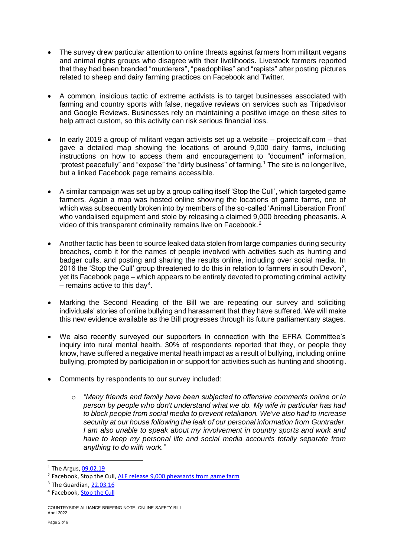- The survey drew particular attention to online threats against farmers from militant vegans and animal rights groups who disagree with their livelihoods. Livestock farmers reported that they had been branded "murderers", "paedophiles" and "rapists" after posting pictures related to sheep and dairy farming practices on Facebook and Twitter.
- A common, insidious tactic of extreme activists is to target businesses associated with farming and country sports with false, negative reviews on services such as Tripadvisor and Google Reviews. Businesses rely on maintaining a positive image on these sites to help attract custom, so this activity can risk serious financial loss.
- In early 2019 a group of militant vegan activists set up a website projectcalf.com that gave a detailed map showing the locations of around 9,000 dairy farms, including instructions on how to access them and encouragement to "document" information, "protest peacefully" and "expose" the "dirty business" of farming. <sup>1</sup> The site is no longer live, but a linked Facebook page remains accessible.
- A similar campaign was set up by a group calling itself 'Stop the Cull', which targeted game farmers. Again a map was hosted online showing the locations of game farms, one of which was subsequently broken into by members of the so-called 'Animal Liberation Front' who vandalised equipment and stole by releasing a claimed 9,000 breeding pheasants. A video of this transparent criminality remains live on Facebook. <sup>2</sup>
- Another tactic has been to source leaked data stolen from large companies during security breaches, comb it for the names of people involved with activities such as hunting and badger culls, and posting and sharing the results online, including over social media. In 2016 the 'Stop the Cull' group threatened to do this in relation to farmers in south Devon<sup>3</sup>, yet its Facebook page – which appears to be entirely devoted to promoting criminal activity  $-$  remains active to this day<sup>4</sup>.
- Marking the Second Reading of the Bill we are repeating our survey and soliciting individuals' stories of online bullying and harassment that they have suffered. We will make this new evidence available as the Bill progresses through its future parliamentary stages.
- We also recently surveyed our supporters in connection with the EFRA Committee's inquiry into rural mental health. 30% of respondents reported that they, or people they know, have suffered a negative mental heath impact as a result of bullying, including online bullying, prompted by participation in or support for activities such as hunting and shooting.
- Comments by respondents to our survey included:
	- o *"Many friends and family have been subjected to offensive comments online or in person by people who don't understand what we do. My wife in particular has had to block people from social media to prevent retaliation. We've also had to increase security at our house following the leak of our personal information from Guntrader. I am also unable to speak about my involvement in country sports and work and have to keep my personal life and social media accounts totally separate from anything to do with work."*

 $<sup>1</sup>$  The Argus,  $09.02.19$ </sup>

<sup>&</sup>lt;sup>2</sup> Facebook, Stop the Cull, [ALF release 9,000 pheasants from game farm](https://www.facebook.com/watch/?v=322070151839184)

<sup>3</sup> The Guardian[, 22.03.16](https://www.theguardian.com/environment/2016/mar/22/list-farmers-signed-up-badger-cull-leaked-activists)

<sup>&</sup>lt;sup>4</sup> Facebook, **Stop the Cull** 

COUNTRYSIDE ALLIANCE BRIEFING NOTE: ONLINE SAFETY BILL April 2022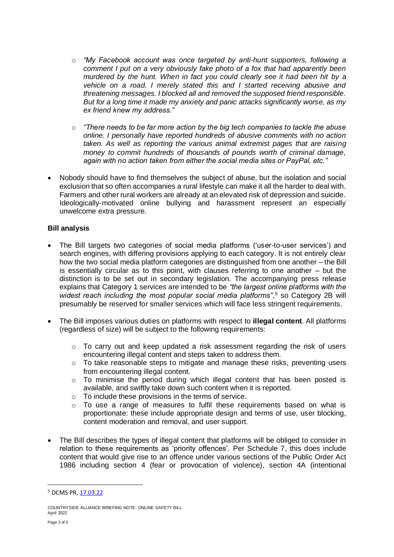- o *"My Facebook account was once targeted by anti-hunt supporters, following a comment I put on a very obviously fake photo of a fox that had apparently been murdered by the hunt. When in fact you could clearly see it had been hit by a vehicle on a road. I merely stated this and I started receiving abusive and threatening messages. I blocked all and removed the supposed friend responsible. But for a long time it made my anxiety and panic attacks significantly worse, as my ex friend knew my address."*
- o *"There needs to be far more action by the big tech companies to tackle the abuse online. I personally have reported hundreds of abusive comments with no action taken. As well as reporting the various animal extremist pages that are raising money to commit hundreds of thousands of pounds worth of criminal damage, again with no action taken from either the social media sites or PayPal, etc."*
- Nobody should have to find themselves the subject of abuse, but the isolation and social exclusion that so often accompanies a rural lifestyle can make it all the harder to deal with. Farmers and other rural workers are already at an elevated risk of depression and suicide. Ideologically-motivated online bullying and harassment represent an especially unwelcome extra pressure.

## **Bill analysis**

- The Bill targets two categories of social media platforms ('user-to-user services') and search engines, with differing provisions applying to each category. It is not entirely clear how the two social media platform categories are distinguished from one another – the Bill is essentially circular as to this point, with clauses referring to one another – but the distinction is to be set out in secondary legislation. The accompanying press release explains that Category 1 services are intended to be *"the largest online platforms with the*  widest reach including the most popular social media platforms",<sup>5</sup> so Category 2B will presumably be reserved for smaller services which will face less stringent requirements.
- The Bill imposes various duties on platforms with respect to **illegal content**. All platforms (regardless of size) will be subject to the following requirements:
	- $\circ$  To carry out and keep updated a risk assessment regarding the risk of users encountering illegal content and steps taken to address them.
	- o To take reasonable steps to mitigate and manage these risks, preventing users from encountering illegal content.
	- o To minimise the period during which illegal content that has been posted is available, and swiftly take down such content when it is reported.
	- o To include these provisions in the terms of service.
	- o To use a range of measures to fulfil these requirements based on what is proportionate: these include appropriate design and terms of use, user blocking, content moderation and removal, and user support.
- The Bill describes the types of illegal content that platforms will be obliged to consider in relation to these requirements as 'priority offences'. Per Schedule 7, this does include content that would give rise to an offence under various sections of the Public Order Act 1986 including section 4 (fear or provocation of violence), section 4A (intentional

<sup>5</sup> DCMS PR[, 17.03.22](https://www.gov.uk/government/news/world-first-online-safety-laws-introduced-in-parliament)

COUNTRYSIDE ALLIANCE BRIEFING NOTE: ONLINE SAFETY BILL April 2022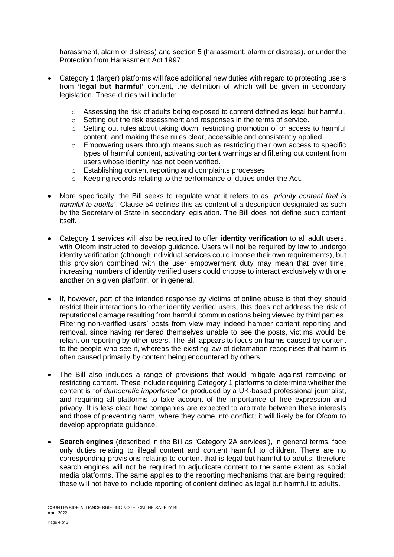harassment, alarm or distress) and section 5 (harassment, alarm or distress), or under the Protection from Harassment Act 1997.

- Category 1 (larger) platforms will face additional new duties with regard to protecting users from **'legal but harmful'** content, the definition of which will be given in secondary legislation. These duties will include:
	- o Assessing the risk of adults being exposed to content defined as legal but harmful.
	- o Setting out the risk assessment and responses in the terms of service.
	- o Setting out rules about taking down, restricting promotion of or access to harmful content, and making these rules clear, accessible and consistently applied.
	- $\circ$  Empowering users through means such as restricting their own access to specific types of harmful content, activating content warnings and filtering out content from users whose identity has not been verified.
	- o Establishing content reporting and complaints processes.
	- o Keeping records relating to the performance of duties under the Act.
- More specifically, the Bill seeks to regulate what it refers to as *"priority content that is harmful to adults"*. Clause 54 defines this as content of a description designated as such by the Secretary of State in secondary legislation. The Bill does not define such content itself.
- Category 1 services will also be required to offer **identity verification** to all adult users, with Ofcom instructed to develop guidance. Users will not be required by law to undergo identity verification (although individual services could impose their own requirements), but this provision combined with the user empowerment duty may mean that over time, increasing numbers of identity verified users could choose to interact exclusively with one another on a given platform, or in general.
- If, however, part of the intended response by victims of online abuse is that they should restrict their interactions to other identity verified users, this does not address the risk of reputational damage resulting from harmful communications being viewed by third parties. Filtering non-verified users' posts from view may indeed hamper content reporting and removal, since having rendered themselves unable to see the posts, victims would be reliant on reporting by other users. The Bill appears to focus on harms caused by content to the people who see it, whereas the existing law of defamation recognises that harm is often caused primarily by content being encountered by others.
- The Bill also includes a range of provisions that would mitigate against removing or restricting content. These include requiring Category 1 platforms to determine whether the content is *"of democratic importance"* or produced by a UK-based professional journalist, and requiring all platforms to take account of the importance of free expression and privacy. It is less clear how companies are expected to arbitrate between these interests and those of preventing harm, where they come into conflict; it will likely be for Ofcom to develop appropriate quidance.
- **Search engines** (described in the Bill as *'*Category 2A services'), in general terms, face only duties relating to illegal content and content harmful to children. There are no corresponding provisions relating to content that is legal but harmful to adults; therefore search engines will not be required to adjudicate content to the same extent as social media platforms. The same applies to the reporting mechanisms that are being required: these will not have to include reporting of content defined as legal but harmful to adults.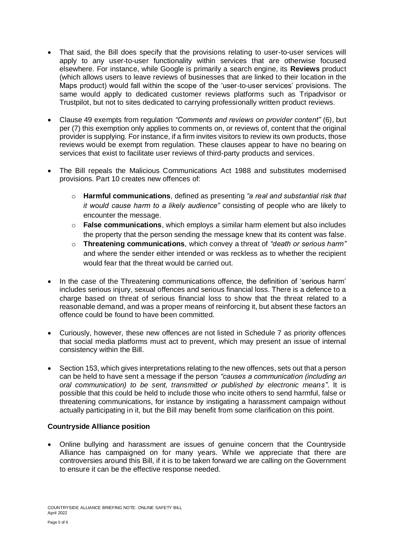- That said, the Bill does specify that the provisions relating to user-to-user services will apply to any user-to-user functionality within services that are otherwise focused elsewhere. For instance, while Google is primarily a search engine, its **Reviews** product (which allows users to leave reviews of businesses that are linked to their location in the Maps product) would fall within the scope of the 'user-to-user services' provisions. The same would apply to dedicated customer reviews platforms such as Tripadvisor or Trustpilot, but not to sites dedicated to carrying professionally written product reviews.
- Clause 49 exempts from regulation *"Comments and reviews on provider content"* (6), but per (7) this exemption only applies to comments on, or reviews of, content that the original provider is supplying. For instance, if a firm invites visitors to review its own products, those reviews would be exempt from regulation. These clauses appear to have no bearing on services that exist to facilitate user reviews of third-party products and services.
- The Bill repeals the Malicious Communications Act 1988 and substitutes modernised provisions. Part 10 creates new offences of:
	- o **Harmful communications**, defined as presenting *"a real and substantial risk that it would cause harm to a likely audience"* consisting of people who are likely to encounter the message.
	- o **False communications**, which employs a similar harm element but also includes the property that the person sending the message knew that its content was false.
	- o **Threatening communications**, which convey a threat of *"death or serious harm"* and where the sender either intended or was reckless as to whether the recipient would fear that the threat would be carried out.
- In the case of the Threatening communications offence, the definition of 'serious harm' includes serious injury, sexual offences and serious financial loss. There is a defence to a charge based on threat of serious financial loss to show that the threat related to a reasonable demand, and was a proper means of reinforcing it, but absent these factors an offence could be found to have been committed.
- Curiously, however, these new offences are not listed in Schedule 7 as priority offences that social media platforms must act to prevent, which may present an issue of internal consistency within the Bill.
- Section 153, which gives interpretations relating to the new offences, sets out that a person can be held to have sent a message if the person *"causes a communication (including an oral communication) to be sent, transmitted or published by electronic means"*. It is possible that this could be held to include those who incite others to send harmful, false or threatening communications, for instance by instigating a harassment campaign without actually participating in it, but the Bill may benefit from some clarification on this point.

## **Countryside Alliance position**

• Online bullying and harassment are issues of genuine concern that the Countryside Alliance has campaigned on for many years. While we appreciate that there are controversies around this Bill, if it is to be taken forward we are calling on the Government to ensure it can be the effective response needed.